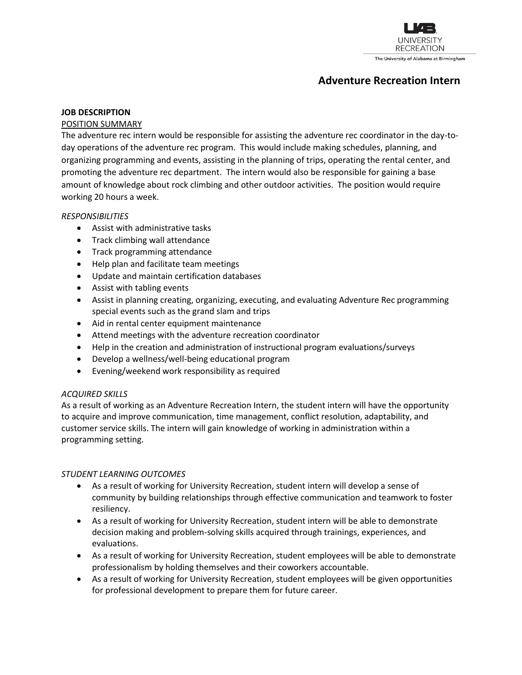

# **Adventure Recreation Intern**

#### **JOB DESCRIPTION**

#### POSITION SUMMARY

The adventure rec intern would be responsible for assisting the adventure rec coordinator in the day-today operations of the adventure rec program. This would include making schedules, planning, and organizing programming and events, assisting in the planning of trips, operating the rental center, and promoting the adventure rec department. The intern would also be responsible for gaining a base amount of knowledge about rock climbing and other outdoor activities. The position would require working 20 hours a week.

#### *RESPONSIBILITIES*

- Assist with administrative tasks
- Track climbing wall attendance
- Track programming attendance
- Help plan and facilitate team meetings
- Update and maintain certification databases
- Assist with tabling events
- Assist in planning creating, organizing, executing, and evaluating Adventure Rec programming special events such as the grand slam and trips
- Aid in rental center equipment maintenance
- Attend meetings with the adventure recreation coordinator
- Help in the creation and administration of instructional program evaluations/surveys
- Develop a wellness/well-being educational program
- Evening/weekend work responsibility as required

### *ACQUIRED SKILLS*

As a result of working as an Adventure Recreation Intern, the student intern will have the opportunity to acquire and improve communication, time management, conflict resolution, adaptability, and customer service skills. The intern will gain knowledge of working in administration within a programming setting.

### *STUDENT LEARNING OUTCOMES*

- As a result of working for University Recreation, student intern will develop a sense of community by building relationships through effective communication and teamwork to foster resiliency.
- As a result of working for University Recreation, student intern will be able to demonstrate decision making and problem-solving skills acquired through trainings, experiences, and evaluations.
- As a result of working for University Recreation, student employees will be able to demonstrate professionalism by holding themselves and their coworkers accountable.
- As a result of working for University Recreation, student employees will be given opportunities for professional development to prepare them for future career.